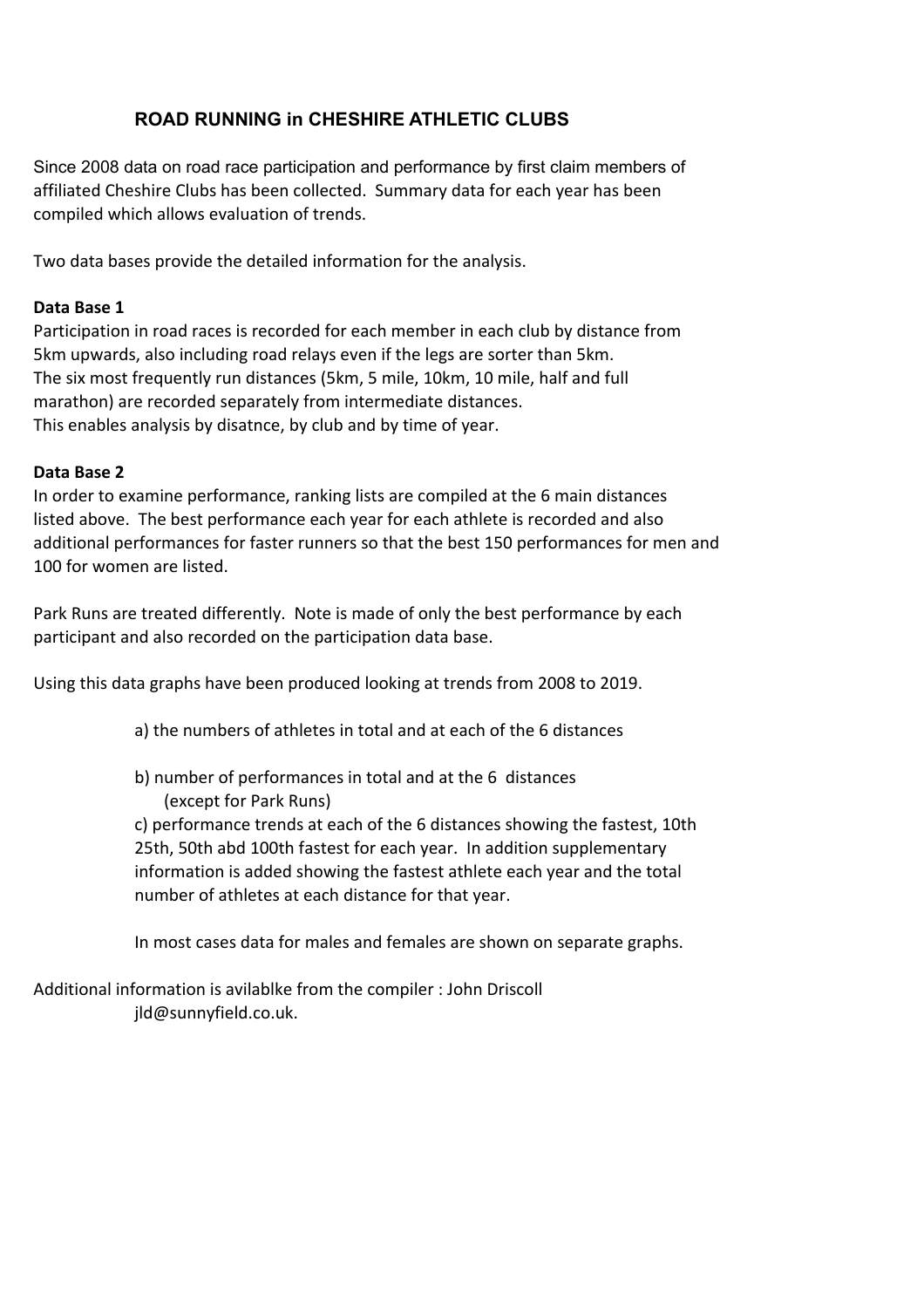# **ROAD RUNNING in CHESHIRE ATHLETIC CLUBS**

Since 2008 data on road race participation and performance by first claim members of affiliated Cheshire Clubs has been collected. Summary data for each year has been compiled which allows evaluation of trends.

Two data bases provide the detailed information for the analysis.

### **Data Base 1**

Participation in road races is recorded for each member in each club by distance from 5km upwards, also including road relays even if the legs are sorter than 5km. The six most frequently run distances (5km, 5 mile, 10km, 10 mile, half and full marathon) are recorded separately from intermediate distances. This enables analysis by disatnce, by club and by time of year.

### **Data Base 2**

In order to examine performance, ranking lists are compiled at the 6 main distances listed above. The best performance each year for each athlete is recorded and also additional performances for faster runners so that the best 150 performances for men and 100 for women are listed.

Park Runs are treated differently. Note is made of only the best performance by each participant and also recorded on the participation data base.

Using this data graphs have been produced looking at trends from 2008 to 2019.

- a) the numbers of athletes in total and at each of the 6 distances
- b) number of performances in total and at the 6 distances (except for Park Runs)

c) performance trends at each of the 6 distances showing the fastest, 10th 25th, 50th abd 100th fastest for each year. In addition supplementary information is added showing the fastest athlete each year and the total number of athletes at each distance for that year.

In most cases data for males and females are shown on separate graphs.

Additional information is avilablke from the compiler : John Driscoll jld@sunnyfield.co.uk.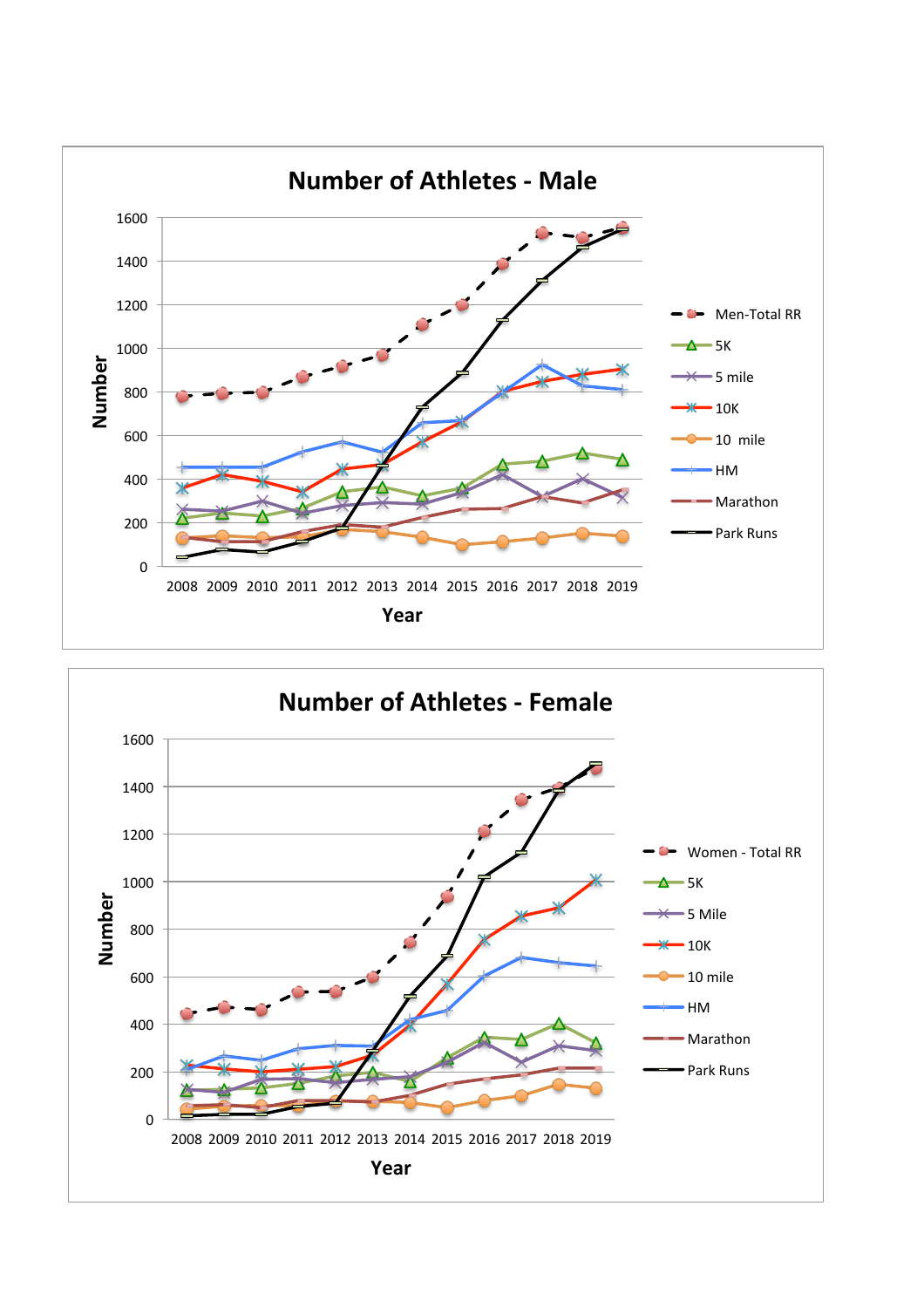

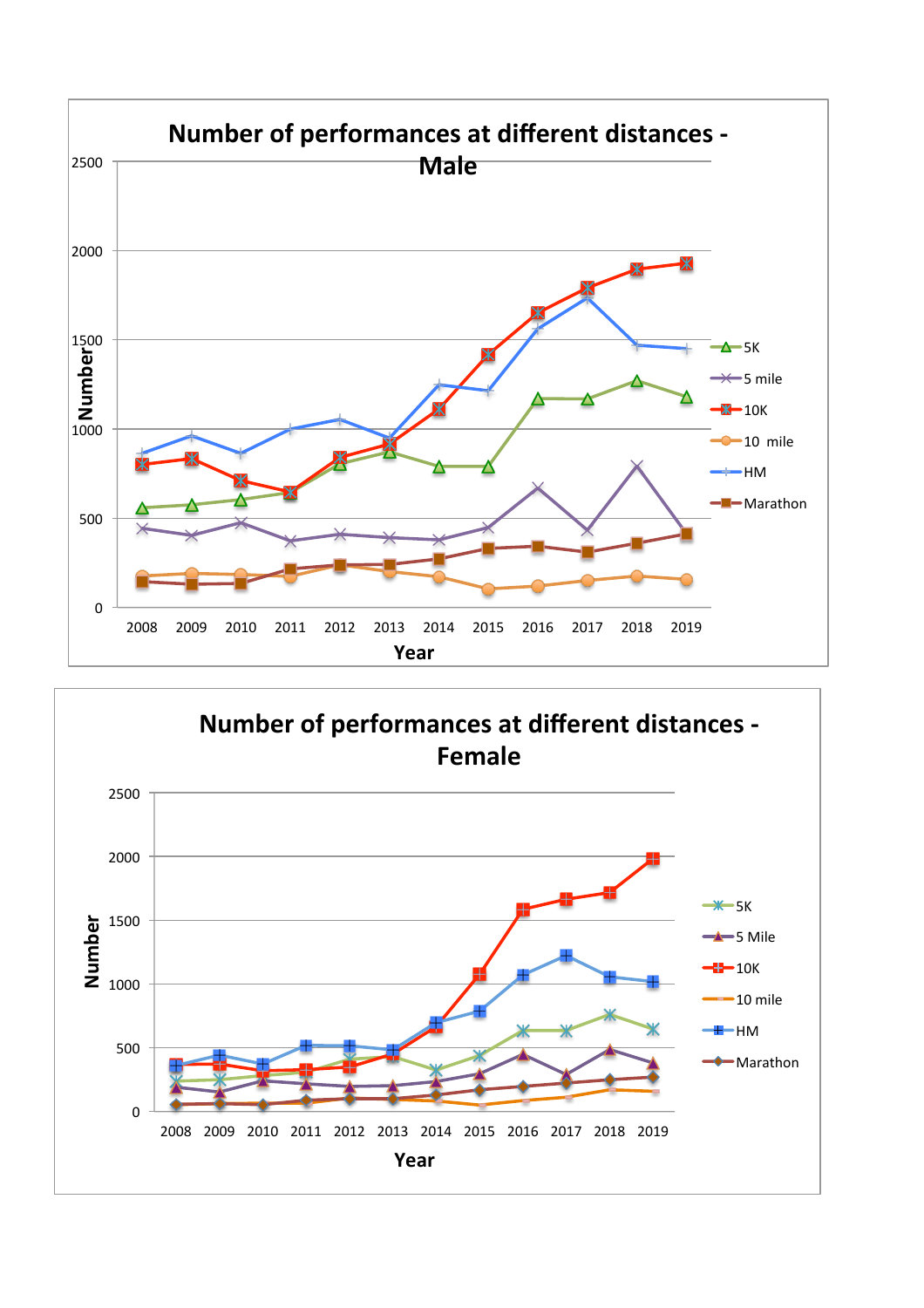

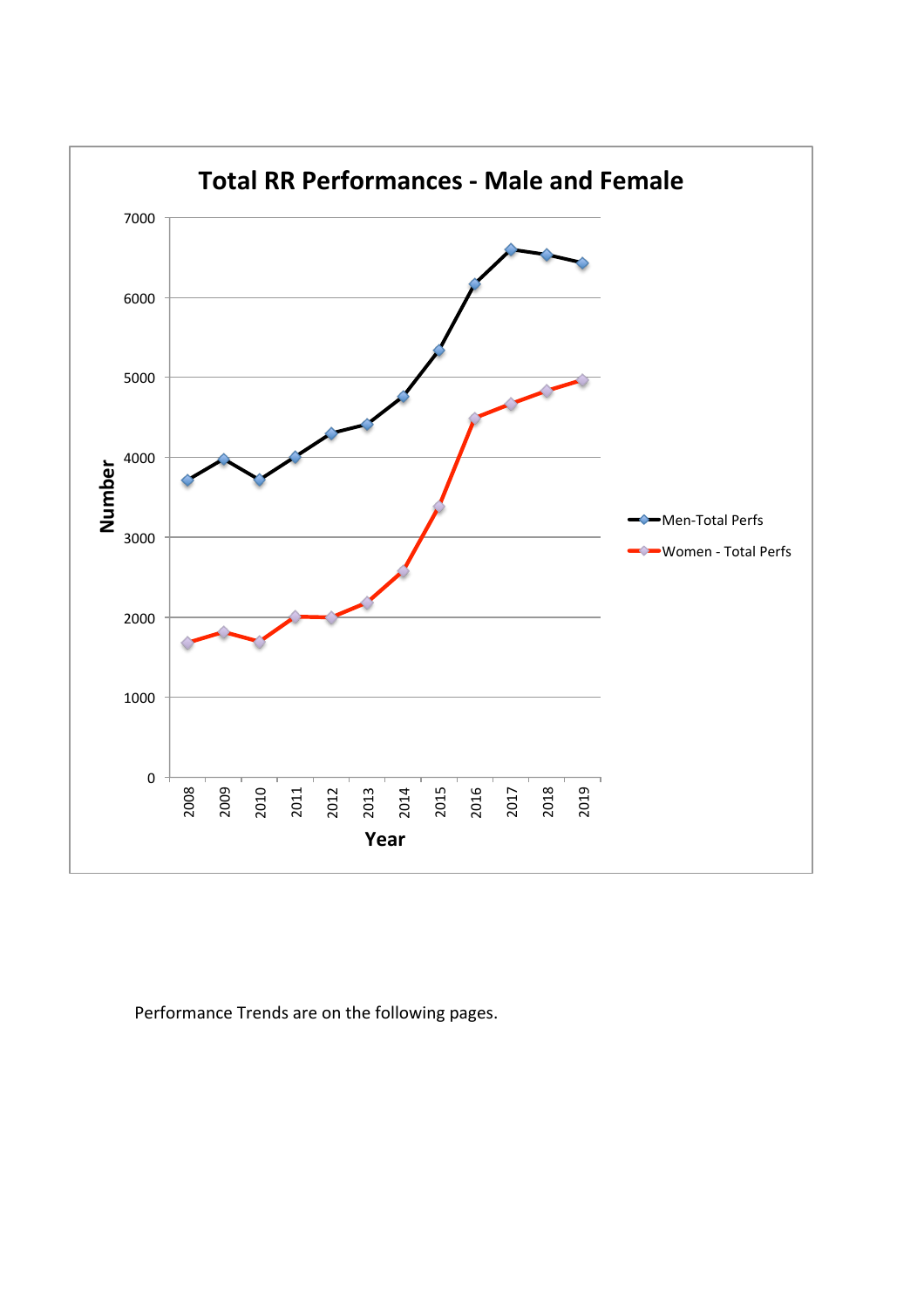

Performance Trends are on the following pages.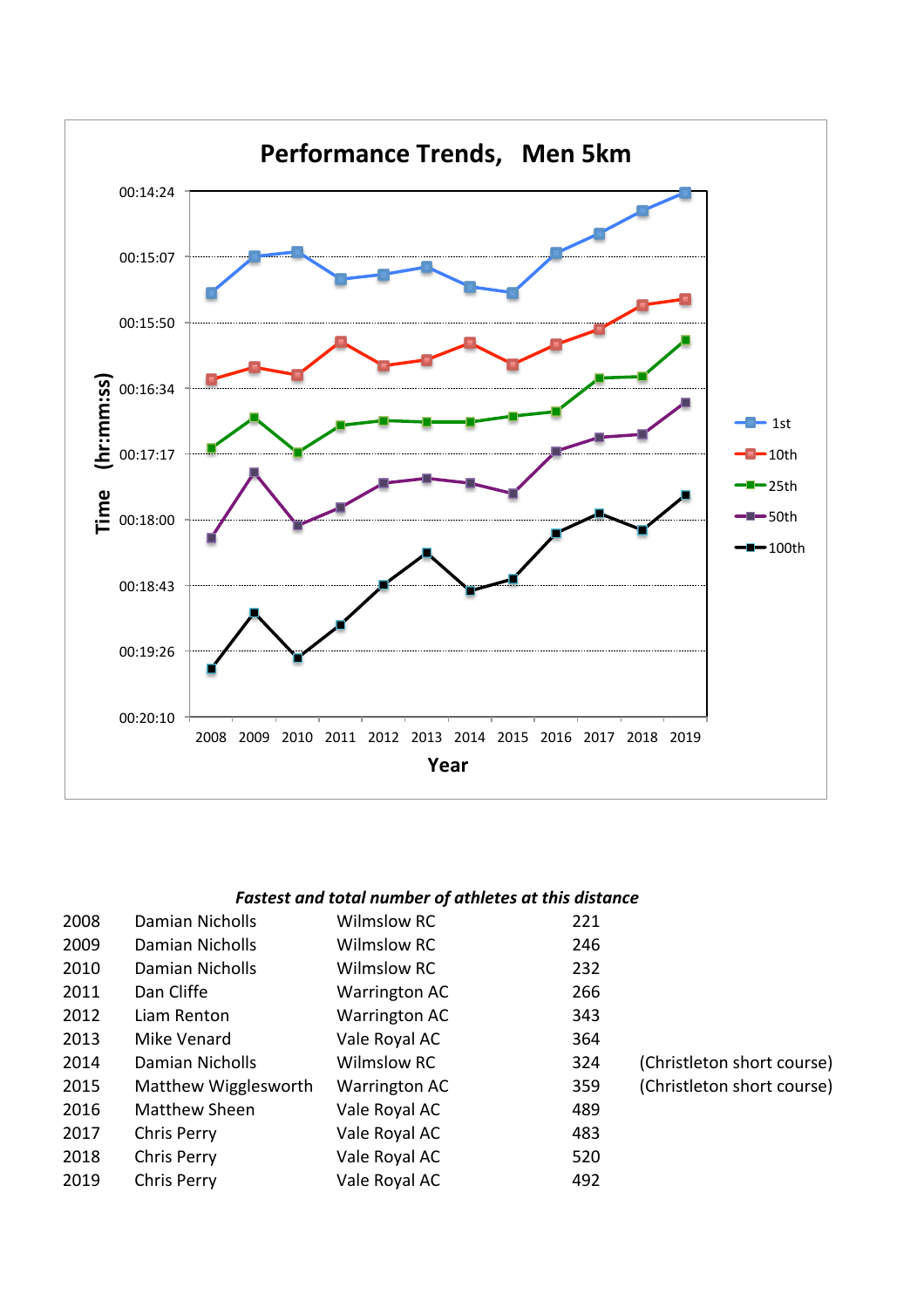

| 2008 | Damian Nicholls      | <b>Wilmslow RC</b> | 221 |                            |
|------|----------------------|--------------------|-----|----------------------------|
| 2009 | Damian Nicholls      | Wilmslow RC        | 246 |                            |
| 2010 | Damian Nicholls      | Wilmslow RC        | 232 |                            |
| 2011 | Dan Cliffe           | Warrington AC      | 266 |                            |
| 2012 | Liam Renton          | Warrington AC      | 343 |                            |
| 2013 | Mike Venard          | Vale Royal AC      | 364 |                            |
| 2014 | Damian Nicholls      | Wilmslow RC        | 324 | (Christleton short course) |
| 2015 | Matthew Wigglesworth | Warrington AC      | 359 | (Christleton short course) |
| 2016 | Matthew Sheen        | Vale Royal AC      | 489 |                            |
| 2017 | Chris Perry          | Vale Royal AC      | 483 |                            |
| 2018 | Chris Perry          | Vale Royal AC      | 520 |                            |
| 2019 | <b>Chris Perry</b>   | Vale Royal AC      | 492 |                            |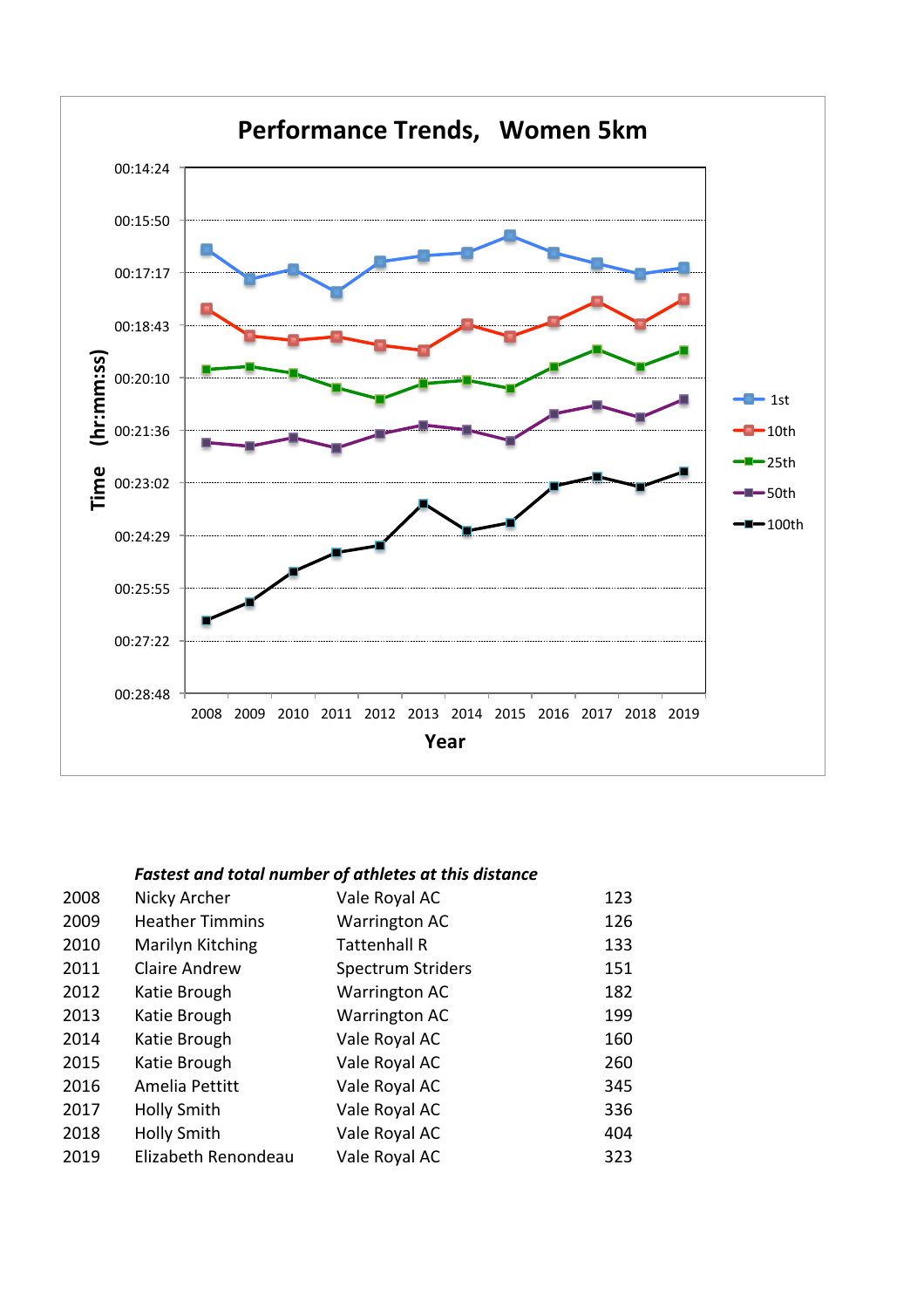

| 2008 | Nicky Archer           | Vale Royal AC            | 123 |
|------|------------------------|--------------------------|-----|
| 2009 | <b>Heather Timmins</b> | Warrington AC            | 126 |
| 2010 | Marilyn Kitching       | <b>Tattenhall R</b>      | 133 |
| 2011 | <b>Claire Andrew</b>   | <b>Spectrum Striders</b> | 151 |
| 2012 | Katie Brough           | Warrington AC            | 182 |
| 2013 | Katie Brough           | Warrington AC            | 199 |
| 2014 | Katie Brough           | Vale Royal AC            | 160 |
| 2015 | Katie Brough           | Vale Royal AC            | 260 |
| 2016 | Amelia Pettitt         | Vale Royal AC            | 345 |
| 2017 | <b>Holly Smith</b>     | Vale Royal AC            | 336 |
| 2018 | <b>Holly Smith</b>     | Vale Royal AC            | 404 |
| 2019 | Elizabeth Renondeau    | Vale Royal AC            | 323 |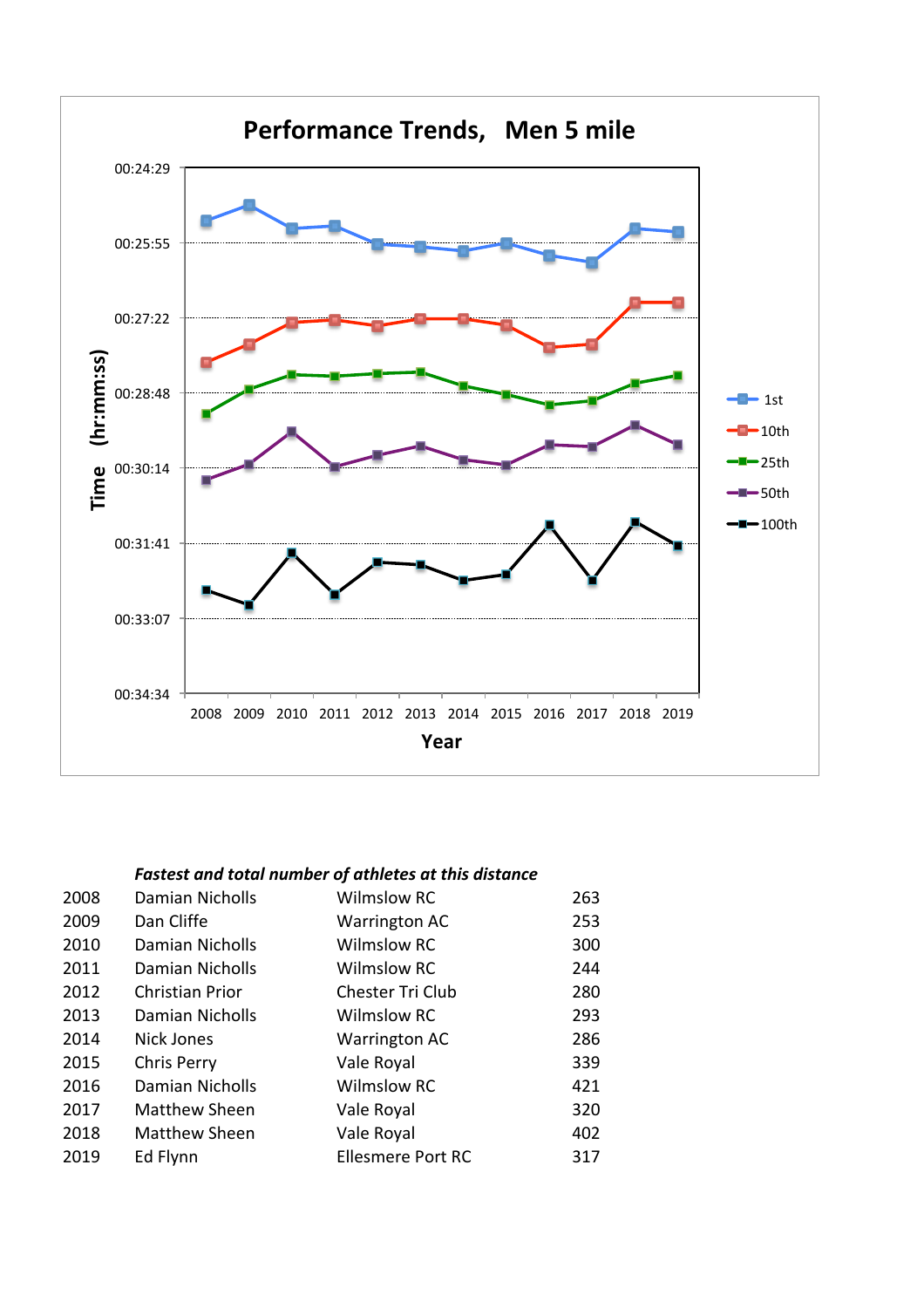

| 2008 | Damian Nicholls        | <b>Wilmslow RC</b>       | 263 |
|------|------------------------|--------------------------|-----|
| 2009 | Dan Cliffe             | <b>Warrington AC</b>     | 253 |
| 2010 | Damian Nicholls        | <b>Wilmslow RC</b>       | 300 |
| 2011 | Damian Nicholls        | <b>Wilmslow RC</b>       | 244 |
| 2012 | <b>Christian Prior</b> | Chester Tri Club         | 280 |
| 2013 | Damian Nicholls        | <b>Wilmslow RC</b>       | 293 |
| 2014 | Nick Jones             | Warrington AC            | 286 |
| 2015 | <b>Chris Perry</b>     | Vale Royal               | 339 |
| 2016 | Damian Nicholls        | <b>Wilmslow RC</b>       | 421 |
| 2017 | <b>Matthew Sheen</b>   | Vale Royal               | 320 |
| 2018 | <b>Matthew Sheen</b>   | Vale Royal               | 402 |
| 2019 | Ed Flynn               | <b>Ellesmere Port RC</b> | 317 |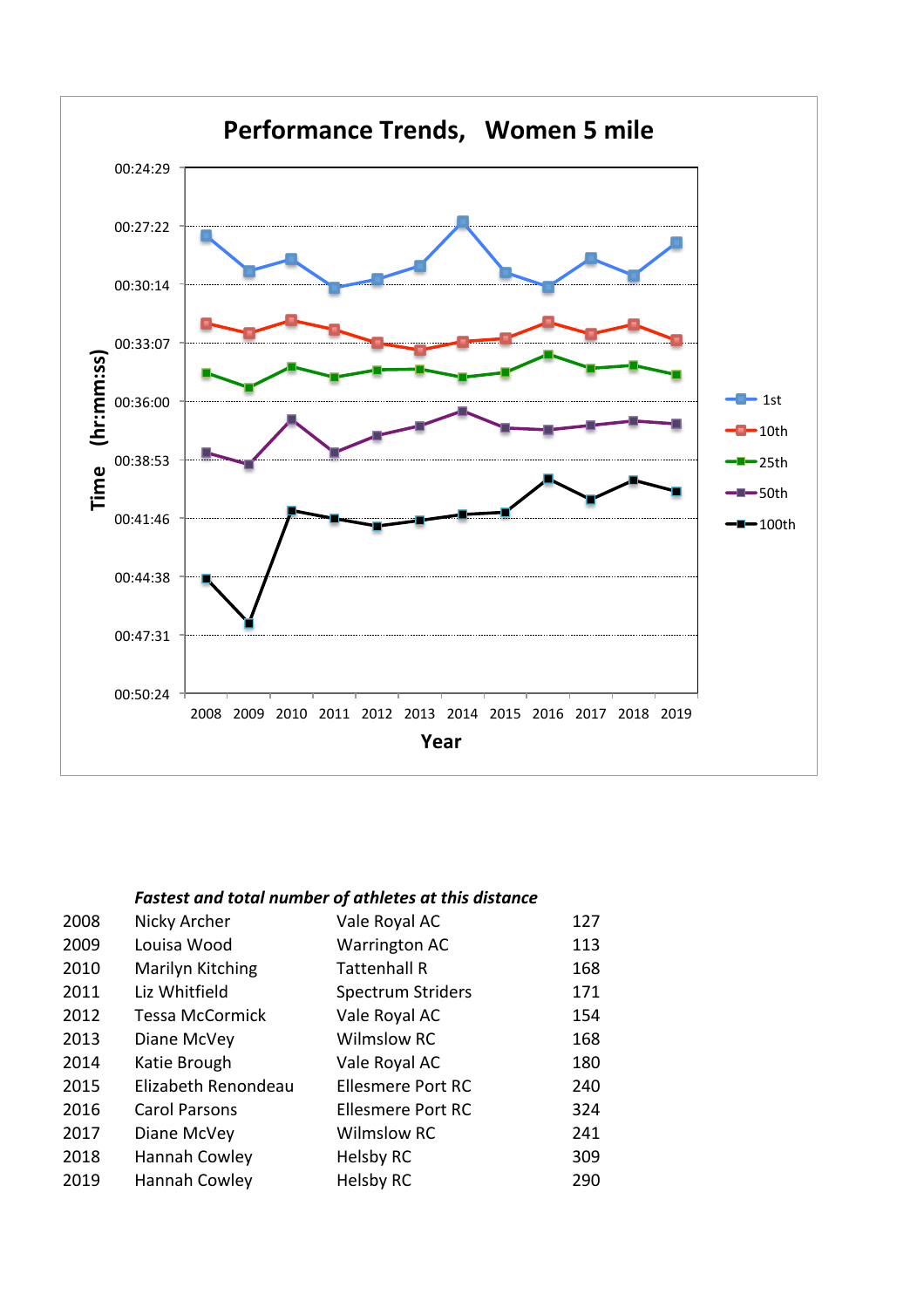

| 2008 | Nicky Archer           | Vale Royal AC            | 127 |
|------|------------------------|--------------------------|-----|
| 2009 | Louisa Wood            | <b>Warrington AC</b>     | 113 |
| 2010 | Marilyn Kitching       | <b>Tattenhall R</b>      | 168 |
| 2011 | Liz Whitfield          | <b>Spectrum Striders</b> | 171 |
| 2012 | <b>Tessa McCormick</b> | Vale Royal AC            | 154 |
| 2013 | Diane McVey            | <b>Wilmslow RC</b>       | 168 |
| 2014 | Katie Brough           | Vale Royal AC            | 180 |
| 2015 | Elizabeth Renondeau    | <b>Ellesmere Port RC</b> | 240 |
| 2016 | <b>Carol Parsons</b>   | <b>Ellesmere Port RC</b> | 324 |
| 2017 | Diane McVey            | <b>Wilmslow RC</b>       | 241 |
| 2018 | Hannah Cowley          | Helsby RC                | 309 |
| 2019 | Hannah Cowley          | <b>Helsby RC</b>         | 290 |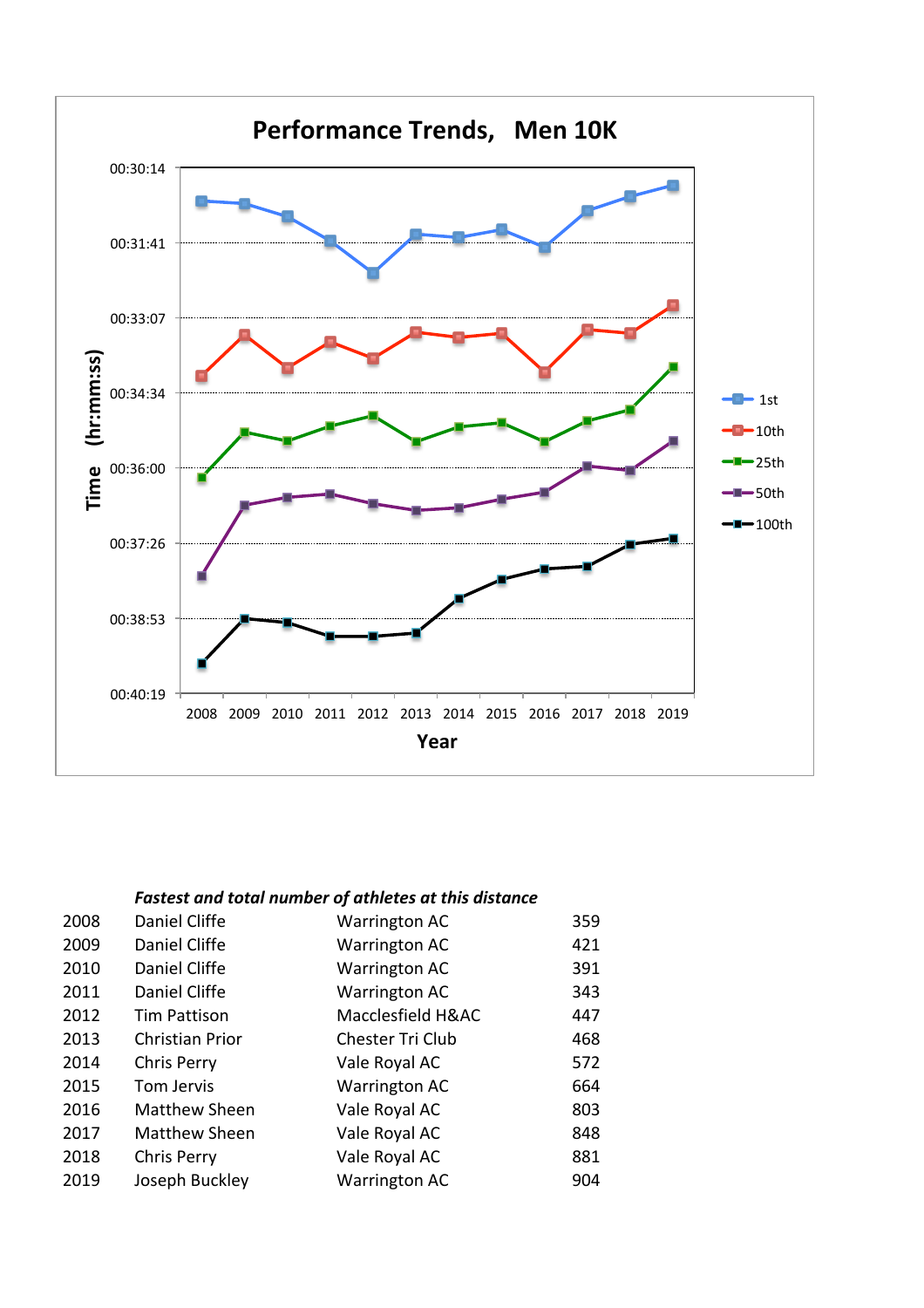

| 2008 | Daniel Cliffe        | <b>Warrington AC</b> | 359 |
|------|----------------------|----------------------|-----|
| 2009 | Daniel Cliffe        | <b>Warrington AC</b> | 421 |
| 2010 | Daniel Cliffe        | <b>Warrington AC</b> | 391 |
| 2011 | Daniel Cliffe        | <b>Warrington AC</b> | 343 |
| 2012 | <b>Tim Pattison</b>  | Macclesfield H&AC    | 447 |
| 2013 | Christian Prior      | Chester Tri Club     | 468 |
| 2014 | Chris Perry          | Vale Royal AC        | 572 |
| 2015 | Tom Jervis           | <b>Warrington AC</b> | 664 |
| 2016 | Matthew Sheen        | Vale Royal AC        | 803 |
| 2017 | <b>Matthew Sheen</b> | Vale Royal AC        | 848 |
| 2018 | <b>Chris Perry</b>   | Vale Royal AC        | 881 |
| 2019 | Joseph Buckley       | <b>Warrington AC</b> | 904 |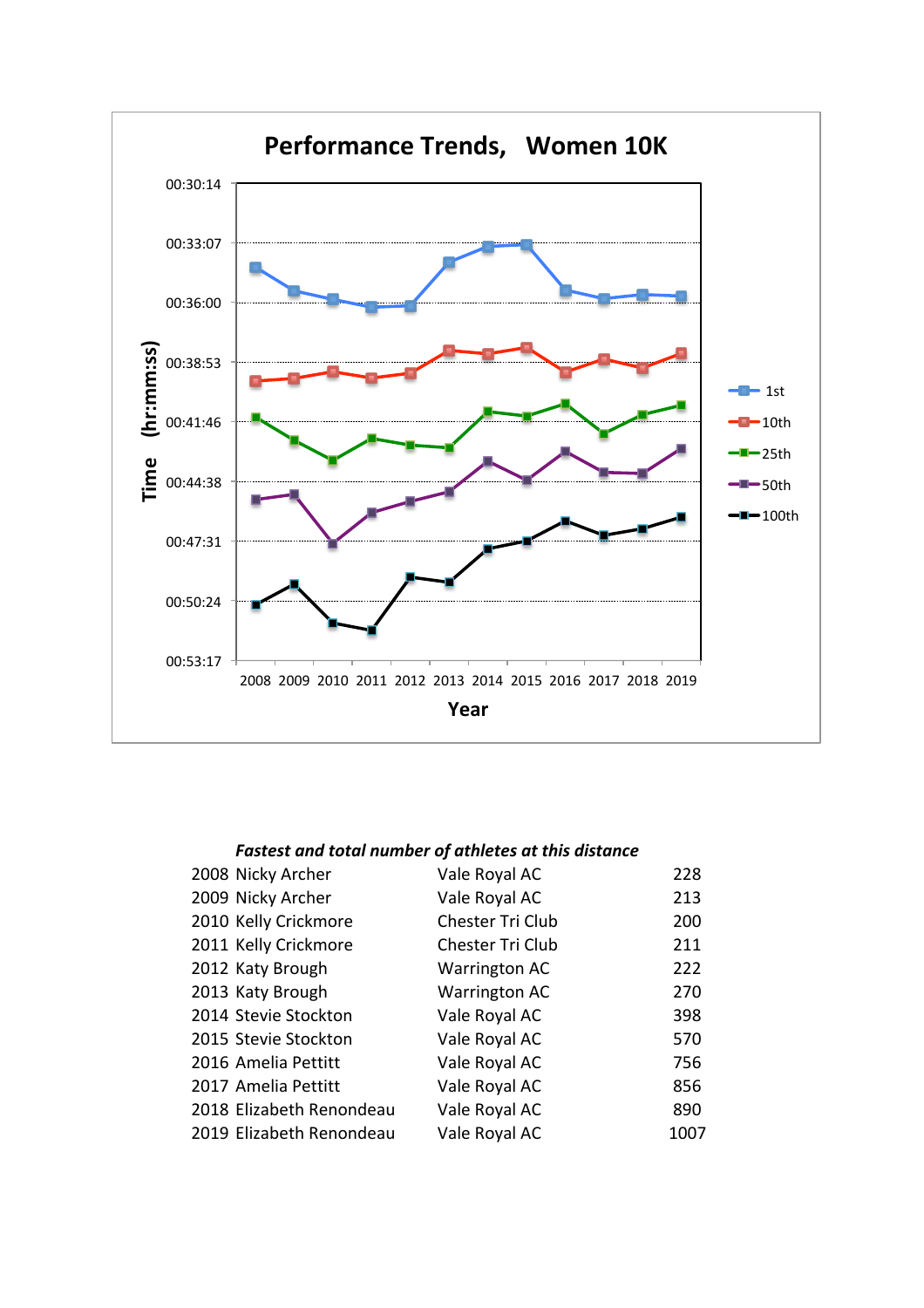

| 2008 Nicky Archer        | Vale Royal AC        | 228  |
|--------------------------|----------------------|------|
| 2009 Nicky Archer        | Vale Royal AC        | 213  |
| 2010 Kelly Crickmore     | Chester Tri Club     | 200  |
| 2011 Kelly Crickmore     | Chester Tri Club     | 211  |
| 2012 Katy Brough         | <b>Warrington AC</b> | 222  |
| 2013 Katy Brough         | Warrington AC        | 270  |
| 2014 Stevie Stockton     | Vale Royal AC        | 398  |
| 2015 Stevie Stockton     | Vale Royal AC        | 570  |
| 2016 Amelia Pettitt      | Vale Royal AC        | 756  |
| 2017 Amelia Pettitt      | Vale Royal AC        | 856  |
| 2018 Elizabeth Renondeau | Vale Royal AC        | 890  |
| 2019 Elizabeth Renondeau | Vale Royal AC        | 1007 |
|                          |                      |      |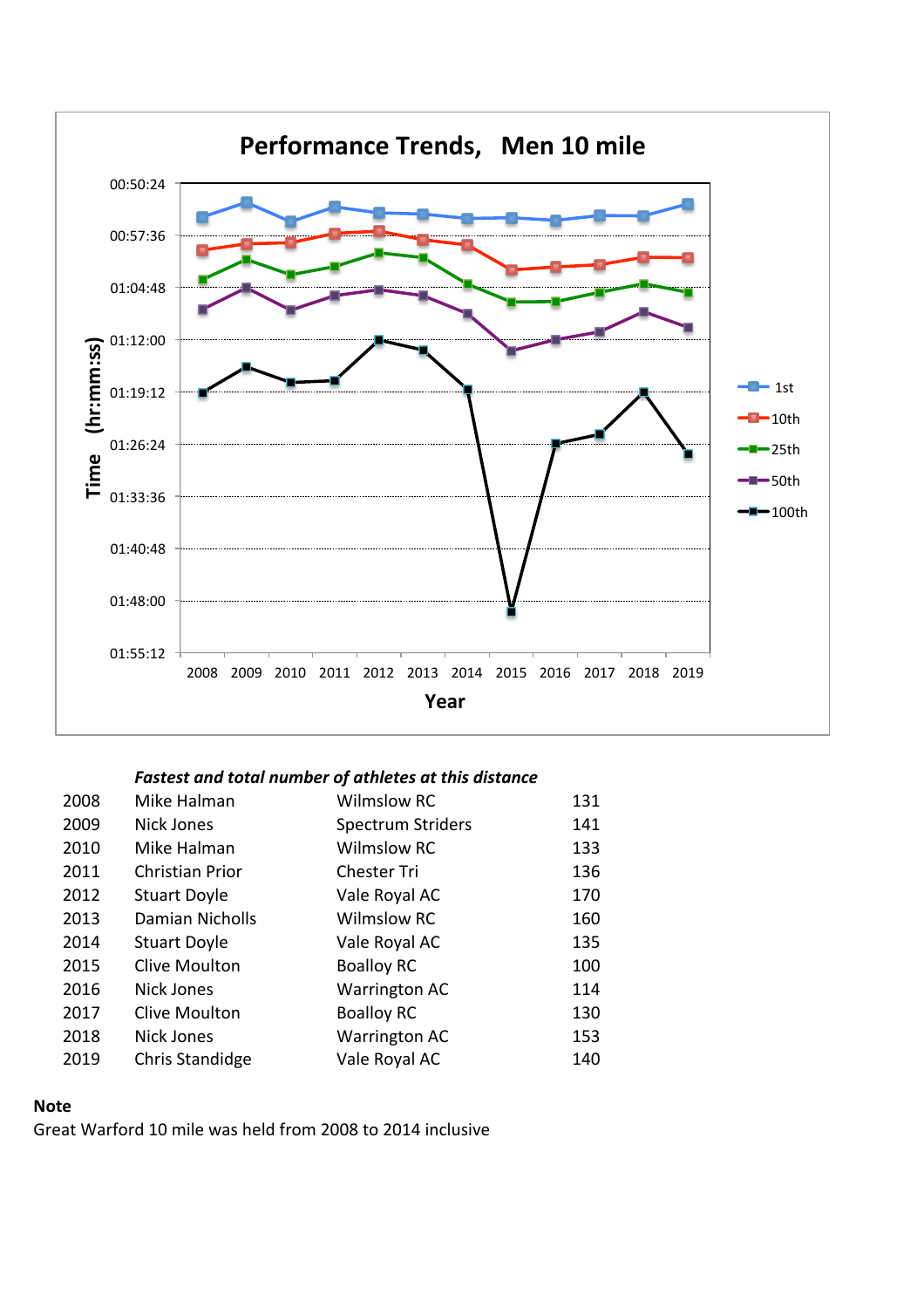

| 2008 | Mike Halman            | <b>Wilmslow RC</b>       | 131 |
|------|------------------------|--------------------------|-----|
| 2009 | <b>Nick Jones</b>      | <b>Spectrum Striders</b> | 141 |
| 2010 | Mike Halman            | <b>Wilmslow RC</b>       | 133 |
| 2011 | <b>Christian Prior</b> | <b>Chester Tri</b>       | 136 |
| 2012 | <b>Stuart Doyle</b>    | Vale Royal AC            | 170 |
| 2013 | Damian Nicholls        | <b>Wilmslow RC</b>       | 160 |
| 2014 | <b>Stuart Doyle</b>    | Vale Royal AC            | 135 |
| 2015 | <b>Clive Moulton</b>   | <b>Boalloy RC</b>        | 100 |
| 2016 | <b>Nick Jones</b>      | <b>Warrington AC</b>     | 114 |
| 2017 | <b>Clive Moulton</b>   | <b>Boalloy RC</b>        | 130 |
| 2018 | <b>Nick Jones</b>      | <b>Warrington AC</b>     | 153 |
| 2019 | Chris Standidge        | Vale Royal AC            | 140 |
|      |                        |                          |     |

#### **Note**

Great Warford 10 mile was held from 2008 to 2014 inclusive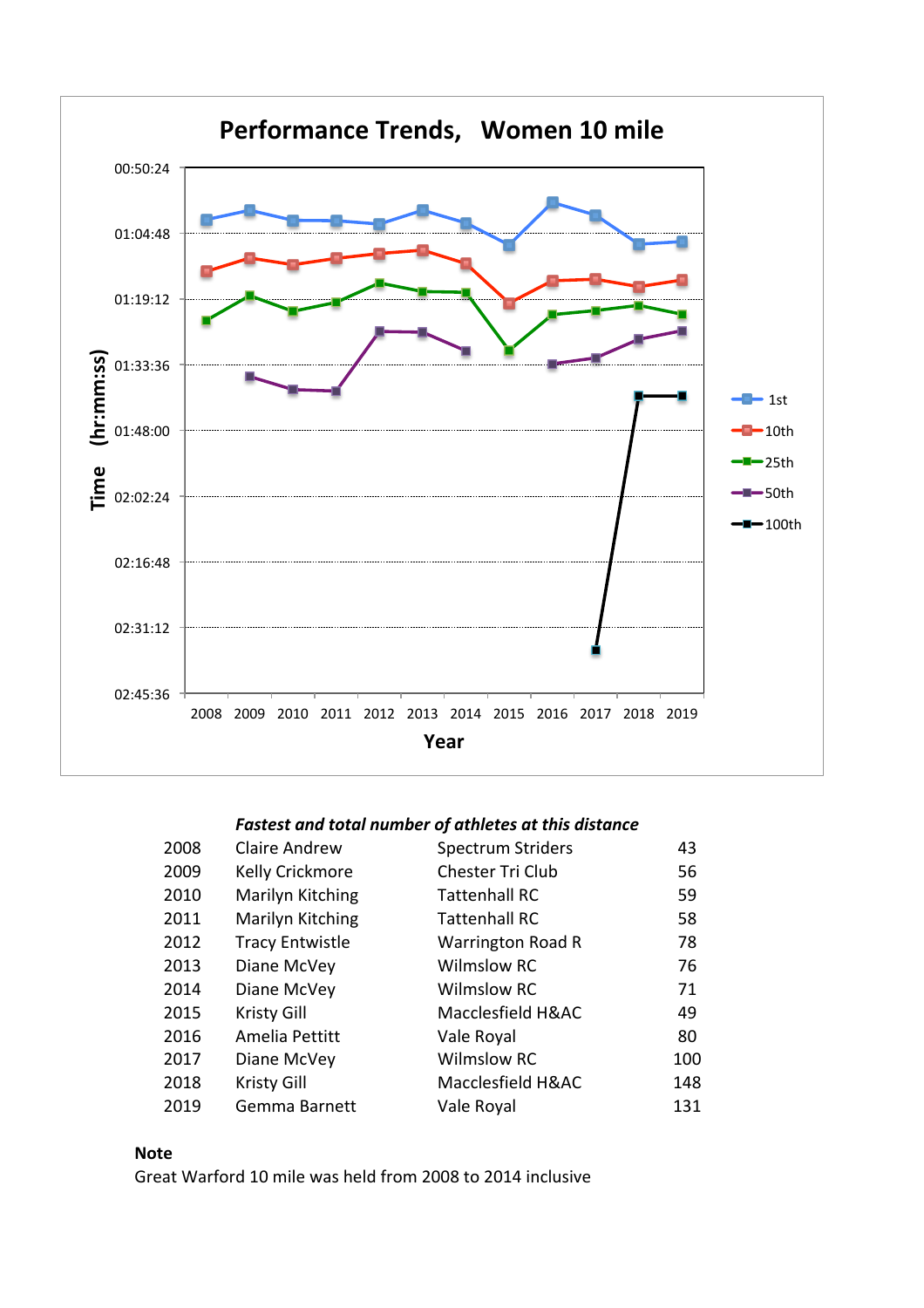

| 2008 | <b>Claire Andrew</b>   | <b>Spectrum Striders</b> | 43  |
|------|------------------------|--------------------------|-----|
| 2009 | <b>Kelly Crickmore</b> | Chester Tri Club         | 56  |
| 2010 | Marilyn Kitching       | <b>Tattenhall RC</b>     | 59  |
| 2011 | Marilyn Kitching       | <b>Tattenhall RC</b>     | 58  |
| 2012 | <b>Tracy Entwistle</b> | <b>Warrington Road R</b> | 78  |
| 2013 | Diane McVey            | <b>Wilmslow RC</b>       | 76  |
| 2014 | Diane McVey            | <b>Wilmslow RC</b>       | 71  |
| 2015 | <b>Kristy Gill</b>     | Macclesfield H&AC        | 49  |
| 2016 | Amelia Pettitt         | Vale Royal               | 80  |
| 2017 | Diane McVey            | <b>Wilmslow RC</b>       | 100 |
| 2018 | Kristy Gill            | Macclesfield H&AC        | 148 |
| 2019 | Gemma Barnett          | Vale Royal               | 131 |

### **Note**

Great Warford 10 mile was held from 2008 to 2014 inclusive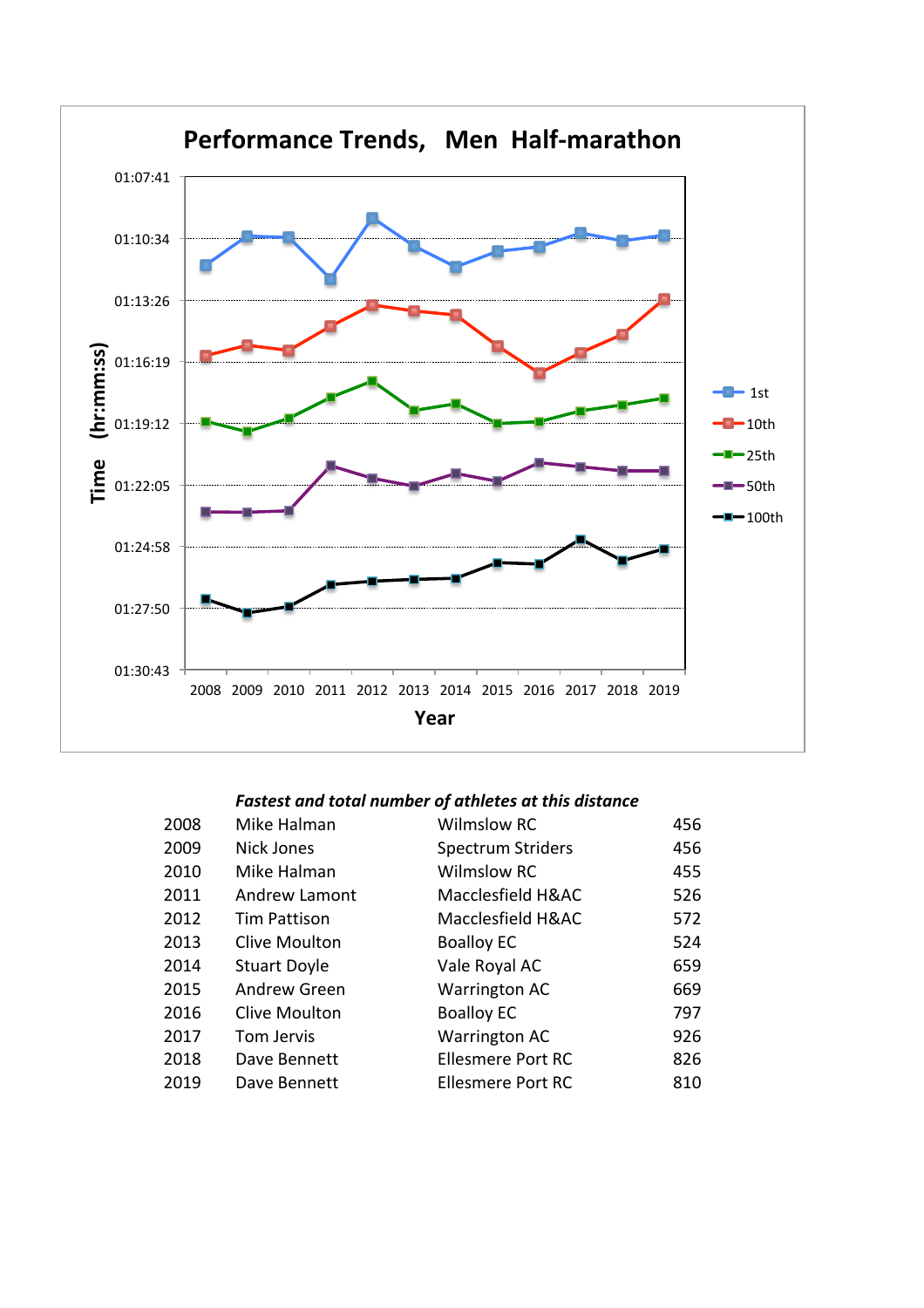

| 2008 | Mike Halman          | <b>Wilmslow RC</b>       | 456 |
|------|----------------------|--------------------------|-----|
| 2009 | Nick Jones           | <b>Spectrum Striders</b> | 456 |
| 2010 | Mike Halman          | <b>Wilmslow RC</b>       | 455 |
| 2011 | Andrew Lamont        | Macclesfield H&AC        | 526 |
| 2012 | <b>Tim Pattison</b>  | Macclesfield H&AC        | 572 |
| 2013 | <b>Clive Moulton</b> | <b>Boalloy EC</b>        | 524 |
| 2014 | <b>Stuart Doyle</b>  | Vale Royal AC            | 659 |
| 2015 | Andrew Green         | <b>Warrington AC</b>     | 669 |
| 2016 | <b>Clive Moulton</b> | <b>Boalloy EC</b>        | 797 |
| 2017 | Tom Jervis           | <b>Warrington AC</b>     | 926 |
| 2018 | Dave Bennett         | <b>Ellesmere Port RC</b> | 826 |
| 2019 | Dave Bennett         | <b>Ellesmere Port RC</b> | 810 |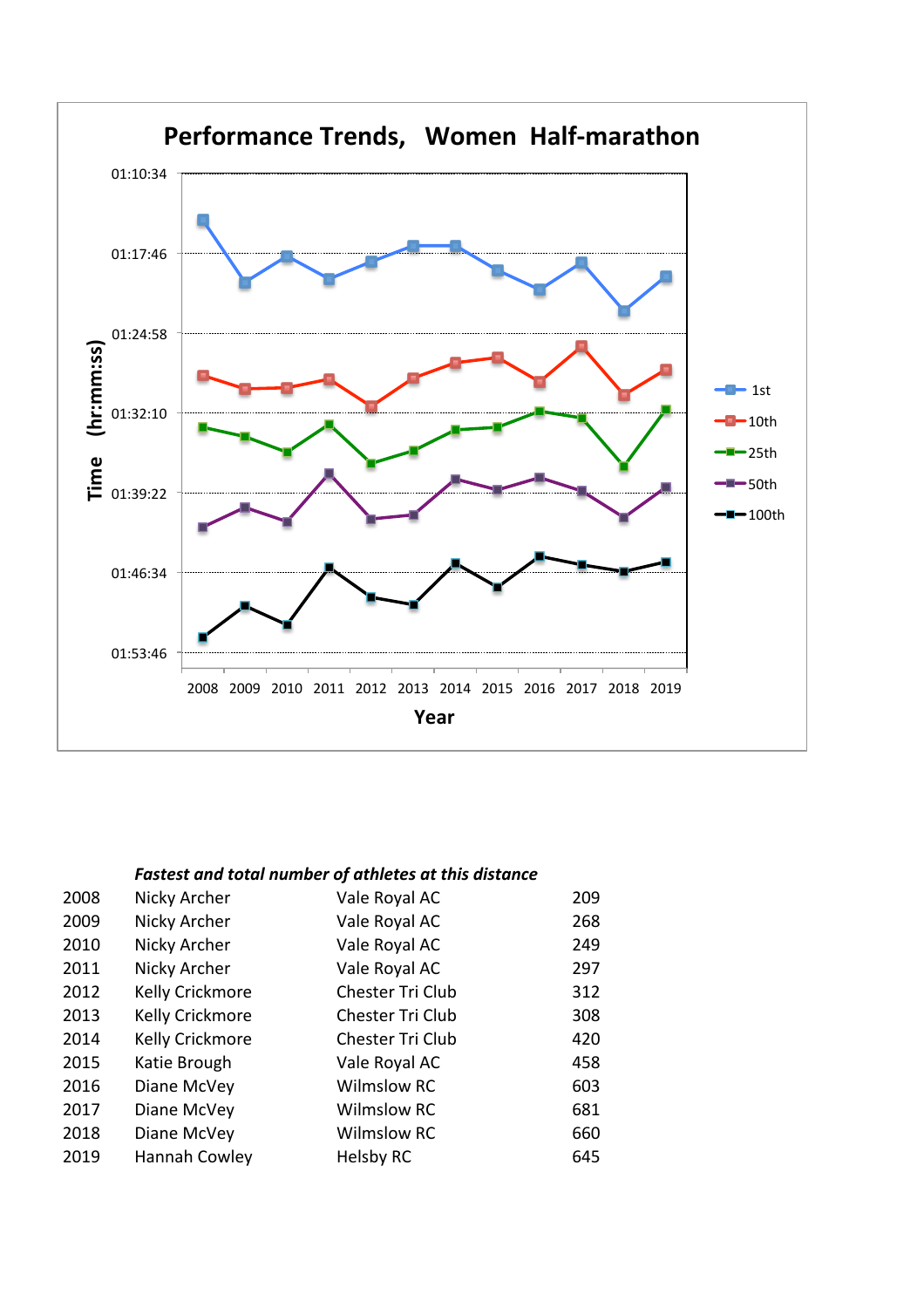

| 2008 | Nicky Archer    | Vale Royal AC      | 209 |
|------|-----------------|--------------------|-----|
| 2009 | Nicky Archer    | Vale Royal AC      | 268 |
| 2010 | Nicky Archer    | Vale Royal AC      | 249 |
| 2011 | Nicky Archer    | Vale Royal AC      | 297 |
| 2012 | Kelly Crickmore | Chester Tri Club   | 312 |
| 2013 | Kelly Crickmore | Chester Tri Club   | 308 |
| 2014 | Kelly Crickmore | Chester Tri Club   | 420 |
| 2015 | Katie Brough    | Vale Royal AC      | 458 |
| 2016 | Diane McVey     | <b>Wilmslow RC</b> | 603 |
| 2017 | Diane McVey     | <b>Wilmslow RC</b> | 681 |
| 2018 | Diane McVey     | <b>Wilmslow RC</b> | 660 |
| 2019 | Hannah Cowley   | Helsby RC          | 645 |
|      |                 |                    |     |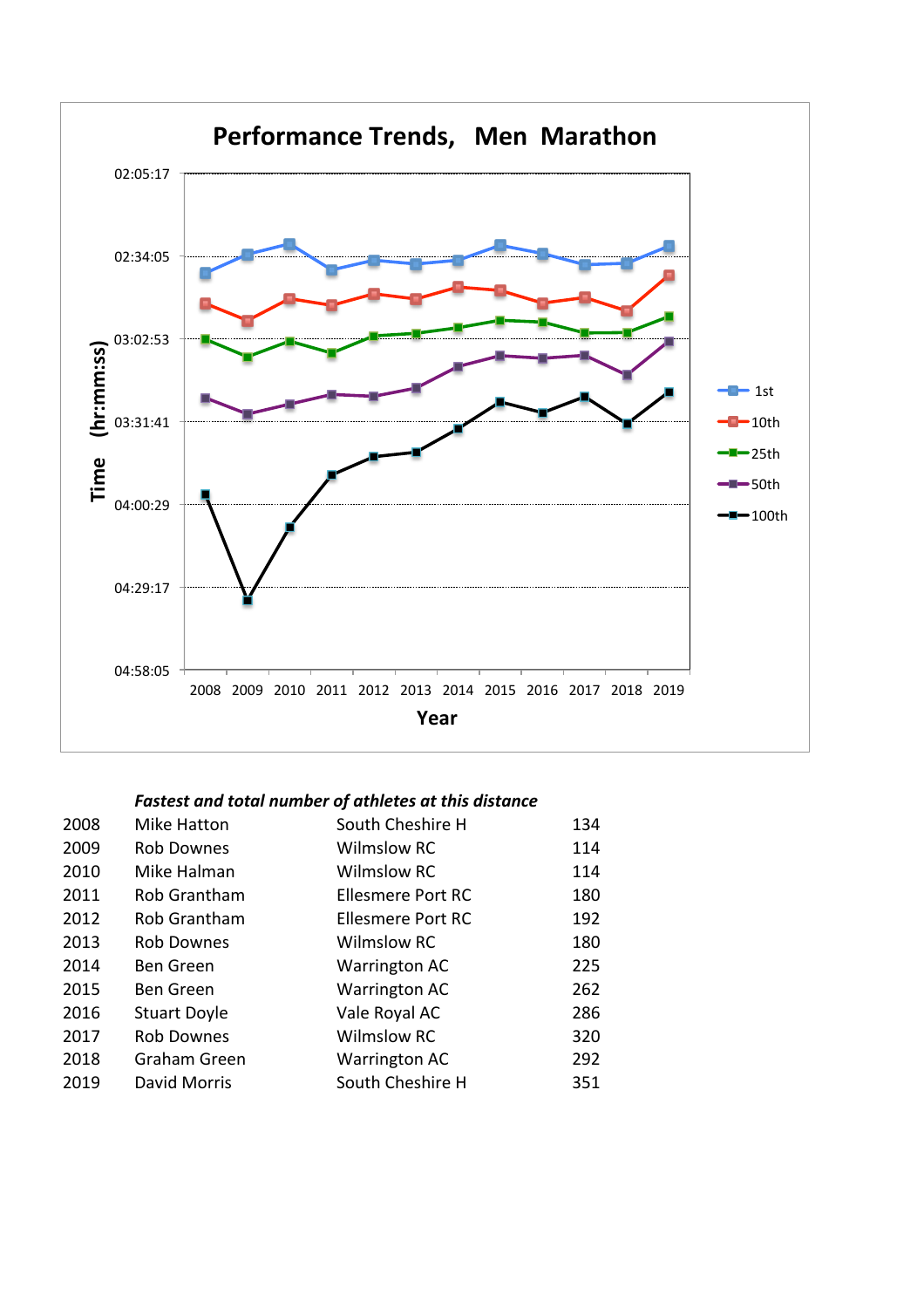

| 2008 | Mike Hatton         | South Cheshire H         | 134 |
|------|---------------------|--------------------------|-----|
| 2009 | <b>Rob Downes</b>   | <b>Wilmslow RC</b>       | 114 |
| 2010 | Mike Halman         | <b>Wilmslow RC</b>       | 114 |
| 2011 | Rob Grantham        | <b>Ellesmere Port RC</b> | 180 |
| 2012 | Rob Grantham        | Ellesmere Port RC        | 192 |
| 2013 | <b>Rob Downes</b>   | <b>Wilmslow RC</b>       | 180 |
| 2014 | <b>Ben Green</b>    | <b>Warrington AC</b>     | 225 |
| 2015 | <b>Ben Green</b>    | <b>Warrington AC</b>     | 262 |
| 2016 | <b>Stuart Doyle</b> | Vale Royal AC            | 286 |
| 2017 | <b>Rob Downes</b>   | <b>Wilmslow RC</b>       | 320 |
| 2018 | Graham Green        | <b>Warrington AC</b>     | 292 |
| 2019 | David Morris        | South Cheshire H         | 351 |
|      |                     |                          |     |